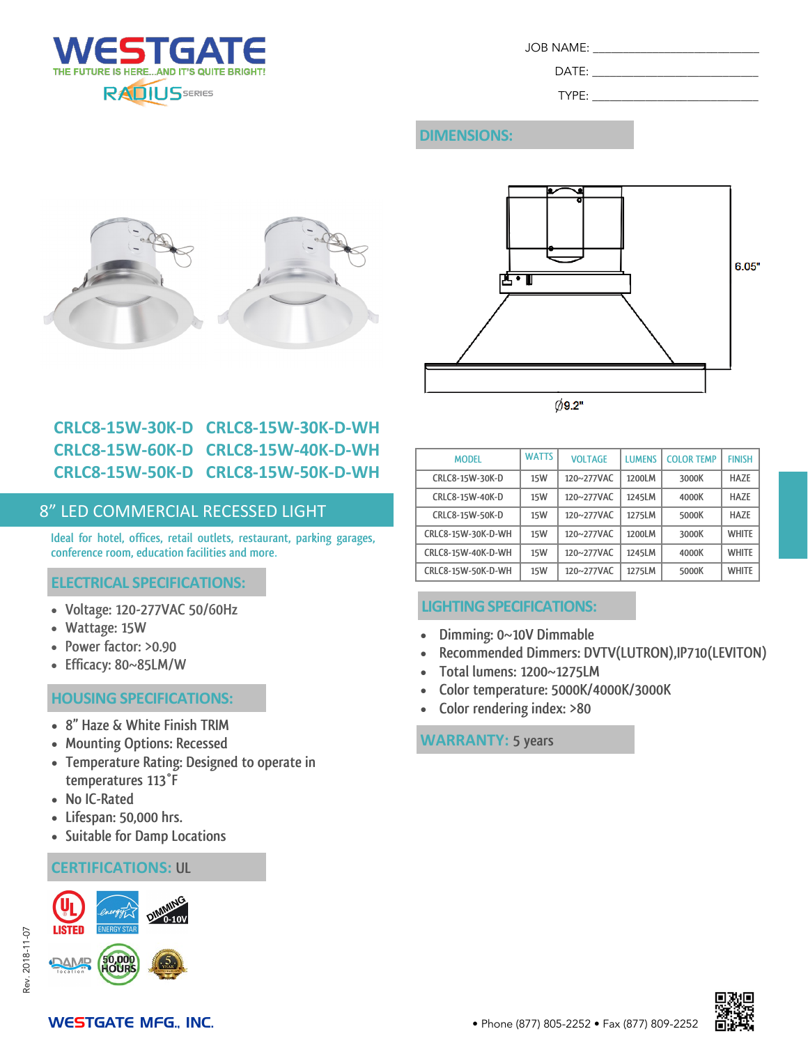

| JOB NAME: |  |
|-----------|--|
|           |  |

 $DATE:$ TYPE:

# **DIMENSIONS:**





# **CRLC8-15W-30K-D CRLC8-15W-30K-D-WH CRLC8-15W-60K-D CRLC8-15W-40K-D-WH CRLC8-15W-50K-D CRLC8-15W-50K-D-WH**

### 8" LED COMMERCIAL RECESSED LIGHT

**Ideal for hotel, offices, retail outlets, restaurant, parking garages, conference room, education facilities and more.**

#### **ELECTRICAL SPECIFICATIONS:**

- **Voltage: 120-277VAC 50/60Hz**
- **Wattage: 15W**
- **Power factor: >0.90**
- **Efficacy: 80~85LM/W**

# • **Color rendering index: >80 HOUSING SPECIFICATIONS:**

- **8" Haze & White Finish TRIM**
- **Mounting Options: Recessed**
- **Temperature Rating: Designed to operate in temperatures 113°F**
- **No IC-Rated**
- **Lifespan: 50,000 hrs.**
- **Suitable for Damp Locations**

#### **CERTIFICATIONS: UL**



| <b>MODEL</b>       | <b>WATTS</b> | <b>VOLTAGE</b> | <b>LUMENS</b> | <b>COLOR TEMP</b> | <b>FINISH</b> |
|--------------------|--------------|----------------|---------------|-------------------|---------------|
| CRLC8-15W-30K-D    | 15W          | 120~277VAC     | 1200LM        | 3000K             | <b>HAZE</b>   |
| CRLC8-15W-40K-D    | 15W          | 120~277VAC     | 1245LM        | 4000K             | <b>HAZE</b>   |
| CRLC8-15W-50K-D    | 15W          | 120~277VAC     | 1275LM        | 5000K             | <b>HAZE</b>   |
| CRLC8-15W-30K-D-WH | 15W          | 120~277VAC     | 1200LM        | 3000K             | <b>WHITE</b>  |
| CRLC8-15W-40K-D-WH | 15W          | 120~277VAC     | 1245LM        | 4000K             | <b>WHITE</b>  |
| CRLC8-15W-50K-D-WH | 15W          | 120~277VAC     | 1275LM        | 5000K             | <b>WHITE</b>  |

## **LIGHTING SPECIFICATIONS:**

- **Dimming: 0~10V Dimmable**
- **Recommended Dimmers: DVTV(LUTRON),IP710(LEVITON)**
- **Total lumens: 1200~1275LM**
- **Color temperature: 5000K/4000K/3000K**
- 

#### **WARRANTY: 5 years**